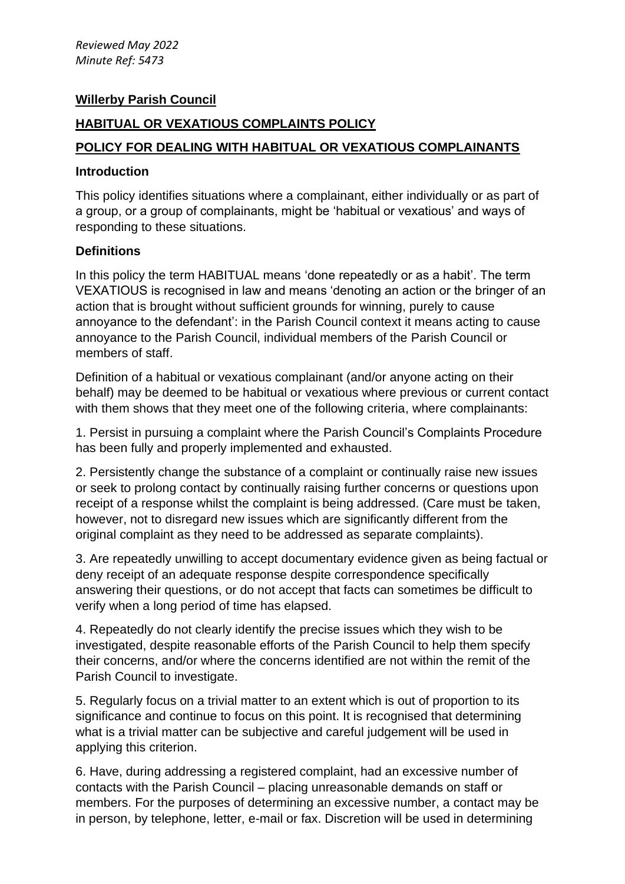## **Willerby Parish Council**

# **HABITUAL OR VEXATIOUS COMPLAINTS POLICY**

## **POLICY FOR DEALING WITH HABITUAL OR VEXATIOUS COMPLAINANTS**

#### **Introduction**

This policy identifies situations where a complainant, either individually or as part of a group, or a group of complainants, might be 'habitual or vexatious' and ways of responding to these situations.

### **Definitions**

In this policy the term HABITUAL means 'done repeatedly or as a habit'. The term VEXATIOUS is recognised in law and means 'denoting an action or the bringer of an action that is brought without sufficient grounds for winning, purely to cause annoyance to the defendant': in the Parish Council context it means acting to cause annoyance to the Parish Council, individual members of the Parish Council or members of staff.

Definition of a habitual or vexatious complainant (and/or anyone acting on their behalf) may be deemed to be habitual or vexatious where previous or current contact with them shows that they meet one of the following criteria, where complainants:

1. Persist in pursuing a complaint where the Parish Council's Complaints Procedure has been fully and properly implemented and exhausted.

2. Persistently change the substance of a complaint or continually raise new issues or seek to prolong contact by continually raising further concerns or questions upon receipt of a response whilst the complaint is being addressed. (Care must be taken, however, not to disregard new issues which are significantly different from the original complaint as they need to be addressed as separate complaints).

3. Are repeatedly unwilling to accept documentary evidence given as being factual or deny receipt of an adequate response despite correspondence specifically answering their questions, or do not accept that facts can sometimes be difficult to verify when a long period of time has elapsed.

4. Repeatedly do not clearly identify the precise issues which they wish to be investigated, despite reasonable efforts of the Parish Council to help them specify their concerns, and/or where the concerns identified are not within the remit of the Parish Council to investigate.

5. Regularly focus on a trivial matter to an extent which is out of proportion to its significance and continue to focus on this point. It is recognised that determining what is a trivial matter can be subjective and careful judgement will be used in applying this criterion.

6. Have, during addressing a registered complaint, had an excessive number of contacts with the Parish Council – placing unreasonable demands on staff or members. For the purposes of determining an excessive number, a contact may be in person, by telephone, letter, e-mail or fax. Discretion will be used in determining